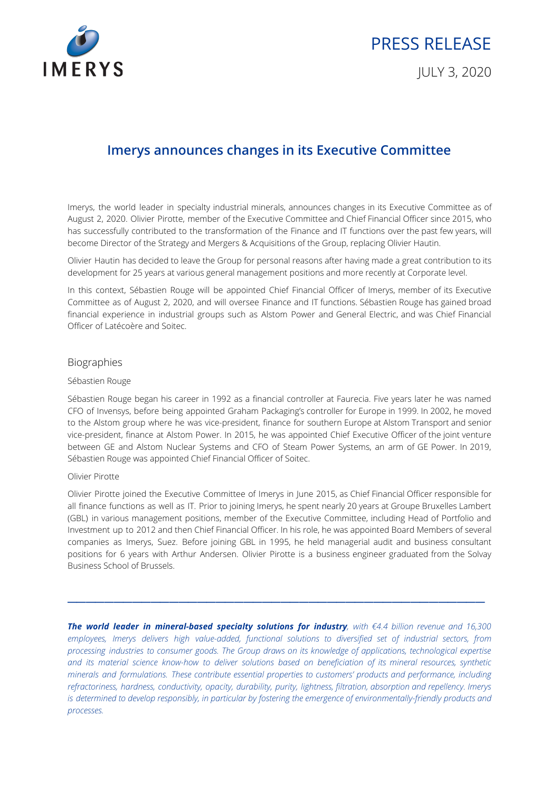

# PRESS RELEASE

JULY 3, 2020

## **Imerys announces changes in its Executive Committee**

Imerys, the world leader in specialty industrial minerals, announces changes in its Executive Committee as of August 2, 2020. Olivier Pirotte, member of the Executive Committee and Chief Financial Officer since 2015, who has successfully contributed to the transformation of the Finance and IT functions over the past few years, will become Director of the Strategy and Mergers & Acquisitions of the Group, replacing Olivier Hautin.

Olivier Hautin has decided to leave the Group for personal reasons after having made a great contribution to its development for 25 years at various general management positions and more recently at Corporate level.

In this context, Sébastien Rouge will be appointed Chief Financial Officer of Imerys, member of its Executive Committee as of August 2, 2020, and will oversee Finance and IT functions. Sébastien Rouge has gained broad financial experience in industrial groups such as Alstom Power and General Electric, and was Chief Financial Officer of Latécoère and Soitec.

#### Biographies

#### Sébastien Rouge

Sébastien Rouge began his career in 1992 as a financial controller at Faurecia. Five years later he was named CFO of Invensys, before being appointed Graham Packaging's controller for Europe in 1999. In 2002, he moved to the Alstom group where he was vice-president, finance for southern Europe at Alstom Transport and senior vice-president, finance at Alstom Power. In 2015, he was appointed Chief Executive Officer of the joint venture between GE and Alstom Nuclear Systems and CFO of Steam Power Systems, an arm of GE Power. In 2019, Sébastien Rouge was appointed Chief Financial Officer of Soitec.

#### Olivier Pirotte

Olivier Pirotte joined the Executive Committee of Imerys in June 2015, as Chief Financial Officer responsible for all finance functions as well as IT. Prior to joining Imerys, he spent nearly 20 years at Groupe Bruxelles Lambert (GBL) in various management positions, member of the Executive Committee, including Head of Portfolio and Investment up to 2012 and then Chief Financial Officer. In his role, he was appointed Board Members of several companies as Imerys, Suez. Before joining GBL in 1995, he held managerial audit and business consultant positions for 6 years with Arthur Andersen. Olivier Pirotte is a business engineer graduated from the Solvay Business School of Brussels.

 $\frac{1}{2}$  ,  $\frac{1}{2}$  ,  $\frac{1}{2}$  ,  $\frac{1}{2}$  ,  $\frac{1}{2}$  ,  $\frac{1}{2}$  ,  $\frac{1}{2}$  ,  $\frac{1}{2}$  ,  $\frac{1}{2}$  ,  $\frac{1}{2}$  ,  $\frac{1}{2}$  ,  $\frac{1}{2}$  ,  $\frac{1}{2}$  ,  $\frac{1}{2}$  ,  $\frac{1}{2}$  ,  $\frac{1}{2}$  ,  $\frac{1}{2}$  ,  $\frac{1}{2}$  ,  $\frac{1$ 

*The world leader in mineral-based specialty solutions for industry, with €4.4 billion revenue and 16,300 employees, Imerys delivers high value-added, functional solutions to diversified set of industrial sectors, from processing industries to consumer goods. The Group draws on its knowledge of applications, technological expertise* and its material science know-how to deliver solutions based on beneficiation of its mineral resources, synthetic *minerals and formulations. These contribute essential properties to customers' products and performance, including refractoriness, hardness, conductivity, opacity, durability, purity, lightness, filtration, absorption and repellency. Imerys is determined to develop responsibly, in particular by fostering the emergence of environmentally-friendly products and processes.*